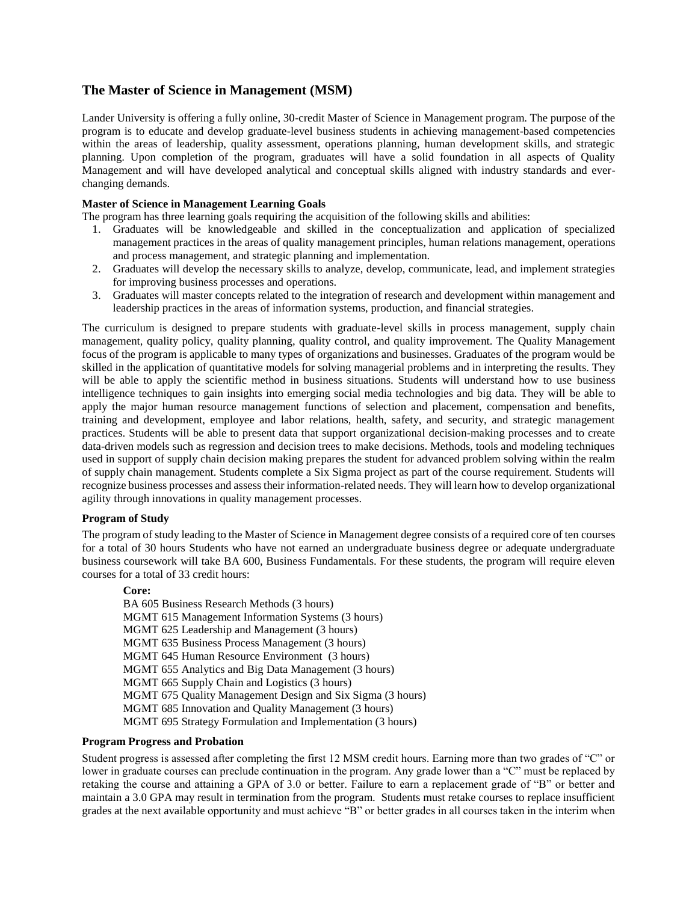# **The Master of Science in Management (MSM)**

Lander University is offering a fully online, 30-credit Master of Science in Management program. The purpose of the program is to educate and develop graduate-level business students in achieving management-based competencies within the areas of leadership, quality assessment, operations planning, human development skills, and strategic planning. Upon completion of the program, graduates will have a solid foundation in all aspects of Quality Management and will have developed analytical and conceptual skills aligned with industry standards and everchanging demands.

# **Master of Science in Management Learning Goals**

The program has three learning goals requiring the acquisition of the following skills and abilities:

- 1. Graduates will be knowledgeable and skilled in the conceptualization and application of specialized management practices in the areas of quality management principles, human relations management, operations and process management, and strategic planning and implementation.
- 2. Graduates will develop the necessary skills to analyze, develop, communicate, lead, and implement strategies for improving business processes and operations.
- 3. Graduates will master concepts related to the integration of research and development within management and leadership practices in the areas of information systems, production, and financial strategies.

The curriculum is designed to prepare students with graduate-level skills in process management, supply chain management, quality policy, quality planning, quality control, and quality improvement. The Quality Management focus of the program is applicable to many types of organizations and businesses. Graduates of the program would be skilled in the application of quantitative models for solving managerial problems and in interpreting the results. They will be able to apply the scientific method in business situations. Students will understand how to use business intelligence techniques to gain insights into emerging social media technologies and big data. They will be able to apply the major human resource management functions of selection and placement, compensation and benefits, training and development, employee and labor relations, health, safety, and security, and strategic management practices. Students will be able to present data that support organizational decision-making processes and to create data-driven models such as regression and decision trees to make decisions. Methods, tools and modeling techniques used in support of supply chain decision making prepares the student for advanced problem solving within the realm of supply chain management. Students complete a Six Sigma project as part of the course requirement. Students will recognize business processes and assess their information-related needs. They will learn how to develop organizational agility through innovations in quality management processes.

## **Program of Study**

The program of study leading to the Master of Science in Management degree consists of a required core of ten courses for a total of 30 hours Students who have not earned an undergraduate business degree or adequate undergraduate business coursework will take BA 600, Business Fundamentals. For these students, the program will require eleven courses for a total of 33 credit hours:

### **Core:**

BA 605 Business Research Methods (3 hours) MGMT 615 Management Information Systems (3 hours) MGMT 625 Leadership and Management (3 hours) MGMT 635 Business Process Management (3 hours) MGMT 645 Human Resource Environment (3 hours) MGMT 655 Analytics and Big Data Management (3 hours) MGMT 665 Supply Chain and Logistics (3 hours) MGMT 675 Quality Management Design and Six Sigma (3 hours) MGMT 685 Innovation and Quality Management (3 hours) MGMT 695 Strategy Formulation and Implementation (3 hours)

### **Program Progress and Probation**

Student progress is assessed after completing the first 12 MSM credit hours. Earning more than two grades of "C" or lower in graduate courses can preclude continuation in the program. Any grade lower than a "C" must be replaced by retaking the course and attaining a GPA of 3.0 or better. Failure to earn a replacement grade of "B" or better and maintain a 3.0 GPA may result in termination from the program. Students must retake courses to replace insufficient grades at the next available opportunity and must achieve "B" or better grades in all courses taken in the interim when